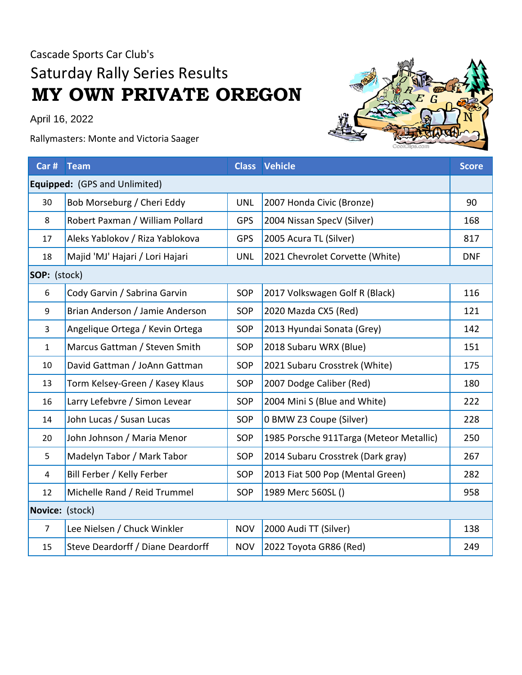## Cascade Sports Car Club's Saturday Rally Series Results **MY OWN PRIVATE OREGON**

April 16, 2022

Rallymasters: Monte and Victoria Saager



| Car # Team                    |                                   |            | <b>Class Vehicle</b>                    | <b>Score</b> |  |  |  |  |  |
|-------------------------------|-----------------------------------|------------|-----------------------------------------|--------------|--|--|--|--|--|
| Equipped: (GPS and Unlimited) |                                   |            |                                         |              |  |  |  |  |  |
| 30                            | Bob Morseburg / Cheri Eddy        | <b>UNL</b> | 2007 Honda Civic (Bronze)               | 90           |  |  |  |  |  |
| 8                             | Robert Paxman / William Pollard   | <b>GPS</b> | 2004 Nissan SpecV (Silver)              | 168          |  |  |  |  |  |
| 17                            | Aleks Yablokov / Riza Yablokova   | <b>GPS</b> | 2005 Acura TL (Silver)                  | 817          |  |  |  |  |  |
| 18                            | Majid 'MJ' Hajari / Lori Hajari   | <b>UNL</b> | 2021 Chevrolet Corvette (White)         | <b>DNF</b>   |  |  |  |  |  |
| SOP: (stock)                  |                                   |            |                                         |              |  |  |  |  |  |
| 6                             | Cody Garvin / Sabrina Garvin      | SOP        | 2017 Volkswagen Golf R (Black)          | 116          |  |  |  |  |  |
| 9                             | Brian Anderson / Jamie Anderson   | <b>SOP</b> | 2020 Mazda CX5 (Red)                    | 121          |  |  |  |  |  |
| 3                             | Angelique Ortega / Kevin Ortega   | SOP        | 2013 Hyundai Sonata (Grey)              | 142          |  |  |  |  |  |
| $\mathbf{1}$                  | Marcus Gattman / Steven Smith     | SOP        | 2018 Subaru WRX (Blue)                  | 151          |  |  |  |  |  |
| 10                            | David Gattman / JoAnn Gattman     | <b>SOP</b> | 2021 Subaru Crosstrek (White)           | 175          |  |  |  |  |  |
| 13                            | Torm Kelsey-Green / Kasey Klaus   | SOP        | 2007 Dodge Caliber (Red)                | 180          |  |  |  |  |  |
| 16                            | Larry Lefebvre / Simon Levear     | <b>SOP</b> | 2004 Mini S (Blue and White)            | 222          |  |  |  |  |  |
| 14                            | John Lucas / Susan Lucas          | SOP        | 0 BMW Z3 Coupe (Silver)                 | 228          |  |  |  |  |  |
| 20                            | John Johnson / Maria Menor        | SOP        | 1985 Porsche 911Targa (Meteor Metallic) | 250          |  |  |  |  |  |
| 5                             | Madelyn Tabor / Mark Tabor        | <b>SOP</b> | 2014 Subaru Crosstrek (Dark gray)       | 267          |  |  |  |  |  |
| $\overline{4}$                | Bill Ferber / Kelly Ferber        | SOP        | 2013 Fiat 500 Pop (Mental Green)        | 282          |  |  |  |  |  |
| 12                            | Michelle Rand / Reid Trummel      | SOP        | 1989 Merc 560SL ()                      | 958          |  |  |  |  |  |
| Novice: (stock)               |                                   |            |                                         |              |  |  |  |  |  |
| $\overline{7}$                | Lee Nielsen / Chuck Winkler       | <b>NOV</b> | 2000 Audi TT (Silver)                   | 138          |  |  |  |  |  |
| 15                            | Steve Deardorff / Diane Deardorff | <b>NOV</b> | 2022 Toyota GR86 (Red)                  | 249          |  |  |  |  |  |